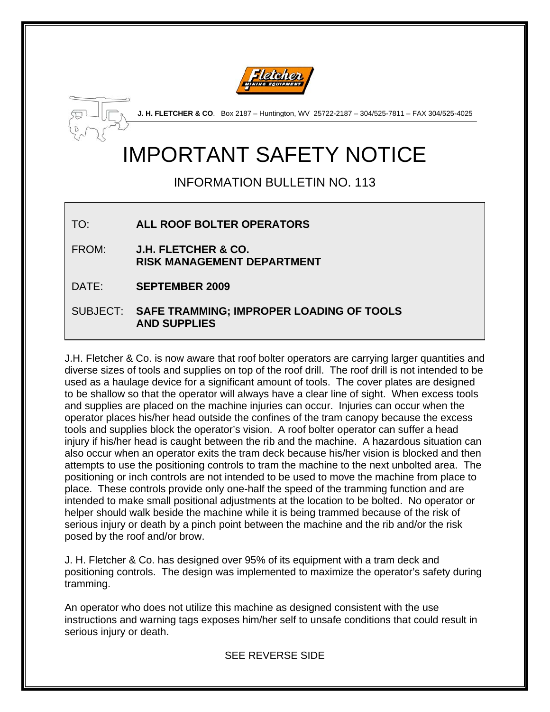



**J. H. FLETCHER & CO**. Box 2187 – Huntington, WV 25722-2187 – 304/525-7811 – FAX 304/525-4025

## IMPORTANT SAFETY NOTICE

INFORMATION BULLETIN NO. 113

TO: **ALL ROOF BOLTER OPERATORS** 

FROM: **J.H. FLETCHER & CO. RISK MANAGEMENT DEPARTMENT** 

DATE: **SEPTEMBER 2009**

SUBJECT: **SAFE TRAMMING; IMPROPER LOADING OF TOOLS AND SUPPLIES** 

J.H. Fletcher & Co. is now aware that roof bolter operators are carrying larger quantities and diverse sizes of tools and supplies on top of the roof drill. The roof drill is not intended to be used as a haulage device for a significant amount of tools. The cover plates are designed to be shallow so that the operator will always have a clear line of sight. When excess tools and supplies are placed on the machine injuries can occur. Injuries can occur when the operator places his/her head outside the confines of the tram canopy because the excess tools and supplies block the operator's vision. A roof bolter operator can suffer a head injury if his/her head is caught between the rib and the machine. A hazardous situation can also occur when an operator exits the tram deck because his/her vision is blocked and then attempts to use the positioning controls to tram the machine to the next unbolted area. The positioning or inch controls are not intended to be used to move the machine from place to place. These controls provide only one-half the speed of the tramming function and are intended to make small positional adjustments at the location to be bolted. No operator or helper should walk beside the machine while it is being trammed because of the risk of serious injury or death by a pinch point between the machine and the rib and/or the risk posed by the roof and/or brow.

J. H. Fletcher & Co. has designed over 95% of its equipment with a tram deck and positioning controls. The design was implemented to maximize the operator's safety during tramming.

An operator who does not utilize this machine as designed consistent with the use instructions and warning tags exposes him/her self to unsafe conditions that could result in serious injury or death.

SEE REVERSE SIDE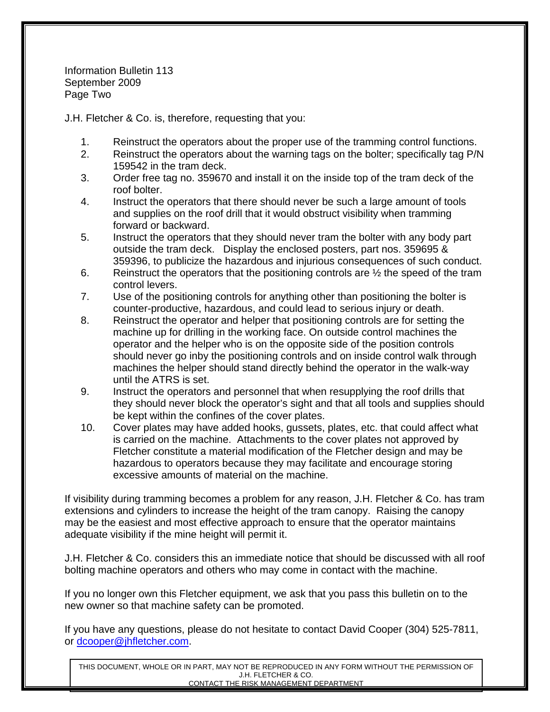Information Bulletin 113 September 2009 Page Two

J.H. Fletcher & Co. is, therefore, requesting that you:

- 1. Reinstruct the operators about the proper use of the tramming control functions.
- 2. Reinstruct the operators about the warning tags on the bolter; specifically tag P/N 159542 in the tram deck.
- 3. Order free tag no. 359670 and install it on the inside top of the tram deck of the roof bolter.
- 4. Instruct the operators that there should never be such a large amount of tools and supplies on the roof drill that it would obstruct visibility when tramming forward or backward.
- 5. Instruct the operators that they should never tram the bolter with any body part outside the tram deck. Display the enclosed posters, part nos. 359695 & 359396, to publicize the hazardous and injurious consequences of such conduct.
- 6. Reinstruct the operators that the positioning controls are  $\frac{1}{2}$  the speed of the tram control levers.
- 7. Use of the positioning controls for anything other than positioning the bolter is counter-productive, hazardous, and could lead to serious injury or death.
- 8. Reinstruct the operator and helper that positioning controls are for setting the machine up for drilling in the working face. On outside control machines the operator and the helper who is on the opposite side of the position controls should never go inby the positioning controls and on inside control walk through machines the helper should stand directly behind the operator in the walk-way until the ATRS is set.
- 9. Instruct the operators and personnel that when resupplying the roof drills that they should never block the operator's sight and that all tools and supplies should be kept within the confines of the cover plates.
- 10. Cover plates may have added hooks, gussets, plates, etc. that could affect what is carried on the machine. Attachments to the cover plates not approved by Fletcher constitute a material modification of the Fletcher design and may be hazardous to operators because they may facilitate and encourage storing excessive amounts of material on the machine.

If visibility during tramming becomes a problem for any reason, J.H. Fletcher & Co. has tram extensions and cylinders to increase the height of the tram canopy. Raising the canopy may be the easiest and most effective approach to ensure that the operator maintains adequate visibility if the mine height will permit it.

J.H. Fletcher & Co. considers this an immediate notice that should be discussed with all roof bolting machine operators and others who may come in contact with the machine.

If you no longer own this Fletcher equipment, we ask that you pass this bulletin on to the new owner so that machine safety can be promoted.

If you have any questions, please do not hesitate to contact David Cooper (304) 525-7811, or [dcooper@jhfletcher.com](mailto:dcooper@jhfletcher.com).

THIS DOCUMENT, WHOLE OR IN PART, MAY NOT BE REPRODUCED IN ANY FORM WITHOUT THE PERMISSION OF J.H. FLETCHER & CO. CONTACT THE RISK MANAGEMENT DEPARTMENT